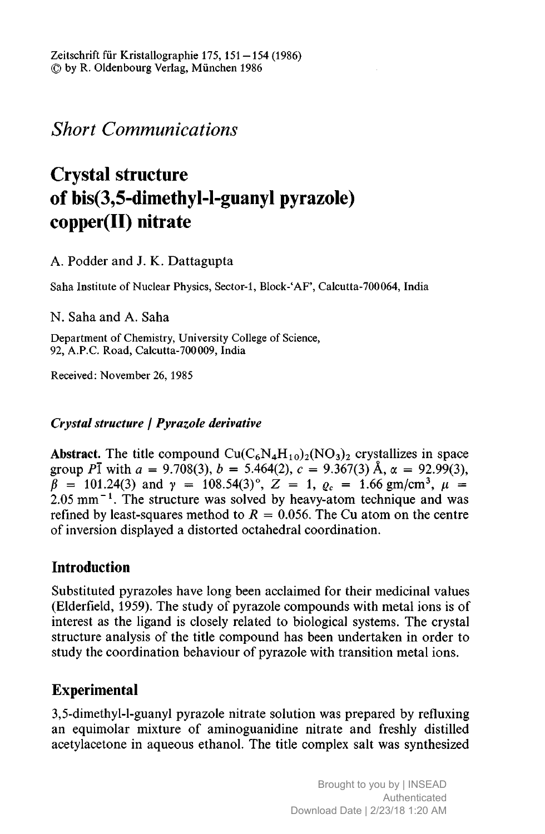Short Communications

# Crystal structure of bis(3,5-dimethyl-l-guanyl pyrazole) copper(II) nitrate

A. Podder and J. K. Dattagupta

Saha Institute of Nuclear Physics, Sector-1, Block-'AF', Calcutta-700064, India

N. Saha and A. Saha

Department of Chemistry, University College of Science, 92, A.P.C. Road, Calcutta-700009, India

Received: November 26, 1985

#### Crystal structure j Pyrazole derivative

Abstract. The title compound  $Cu(C_6N_4H_{10})_2(NO_3)_2$  crystallizes in space group PI with  $a = 9.708(3)$ ,  $b = 5.464(2)$ ,  $c = 9.367(3)$  Å,  $\alpha = 92.99(3)$ ,  $\beta$  = 101.24(3) and  $\gamma$  = 108.54(3)°,  $Z = 1$ ,  $\varrho_c = 1.66$  gm/cm<sup>3</sup>,  $\mu$  =  $2.05$  mm<sup> $-1$ </sup>. The structure was solved by heavy-atom technique and was refined by least-squares method to  $R = 0.056$ . The Cu atom on the centre of inversion displayed <sup>a</sup> distorted octahedral coordination.

## Introduction

Substituted pyrazoles have long been acclaimed for their medicinal values (Elderfield, 1959). The study of pyrazole compounds with metal ions is of interest as the ligand is closely related to biological systems. The crystal structure analysis of the title compound has been undertaken in order to study the coordination behaviour of pyrazole with transition metal ions.

# Experimental

3,5-dimethyl-l-guanyl pyrazole nitrate solution was prepared by refluxing an equimolar mixture of aminoguanidine nitrate and freshly distilled acetylacetone in aqueous ethanol. The title complex salt was synthesized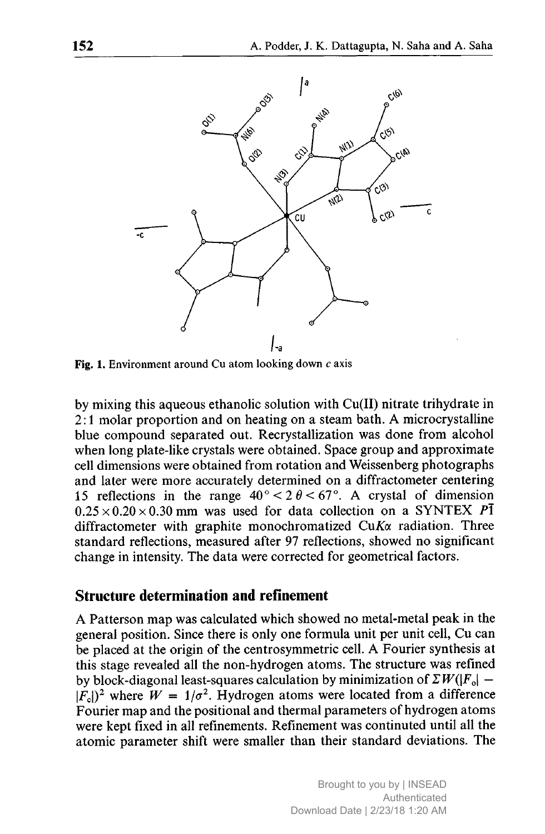

Fig. 1. Environment around Cu atom looking down  $c$  axis

by mixing this aqueous ethanolic solution with Cu(II) nitrate trihydrate in 2:1 molar proportion and on heating on <sup>a</sup> steam bath. A microcrystalline blue compound separated out. Recrystallization was done from alcohol when long plate-like crystals were obtained. Space group and approximate cell dimensions were obtained from rotation and Weissenberg photographs and later were more accurately determined on <sup>a</sup> diffractometer centering 15 reflections in the range  $40^{\circ} < 2 \theta < 67^{\circ}$ . A crystal of dimension  $0.25 \times 0.20 \times 0.30$  mm was used for data collection on a SYNTEX PI diffractometer with graphite monochromatized  $CuK\alpha$  radiation. Three standard reflections, measured after 97 reflections, showed no significant change in intensity. The data were corrected for geometrical factors.

#### Structure determination and refinement

A Patterson map was calculated which showed no metal-metal peak in the general position. Since there is only one formula unit per unit cell, Cu can be placed at the origin of the centrosymmetric cell. A Fourier synthesis at this stage revealed all the non-hydrogen atoms. The structure was refined by block-diagonal least-squares calculation by minimization of  $\sum W(|F_0|-1)$  $|F_c|^2$  where  $W = 1/\sigma^2$ . Hydrogen atoms were located from a difference Fourier map and the positional and thermal parameters of hydrogen atoms were kept fixed in all refinements. Refinement was continuted until all the atomic parameter shift were smaller than their standard deviations. The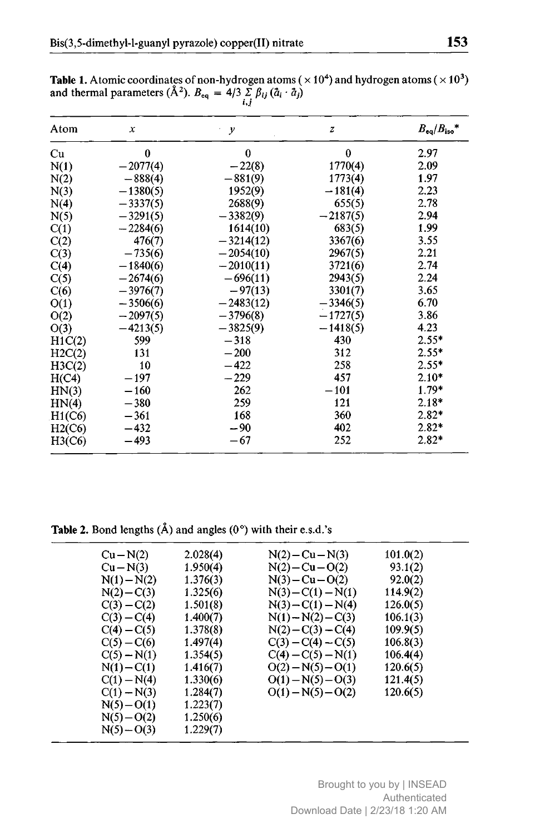| Atom   | $\boldsymbol{\chi}$ | $\cdot$ y   | $\boldsymbol{z}$ | $B_{eq}/B_{iso}$ * |
|--------|---------------------|-------------|------------------|--------------------|
| Cu     | $\bf{0}$            | $\bf{0}$    | $\boldsymbol{0}$ | 2.97               |
| N(1)   | $-2077(4)$          | $-22(8)$    | 1770(4)          | 2.09               |
| N(2)   | $-888(4)$           | $-881(9)$   | 1773(4)          | 1.97               |
| N(3)   | $-1380(5)$          | 1952(9)     | $-181(4)$        | 2.23               |
| N(4)   | $-3337(5)$          | 2688(9)     | 655(5)           | 2.78               |
| N(5)   | $-3291(5)$          | $-3382(9)$  | $-2187(5)$       | 2.94               |
| C(1)   | $-2284(6)$          | 1614(10)    | 683(5)           | 1.99               |
| C(2)   | 476(7)              | $-3214(12)$ | 3367(6)          | 3.55               |
| C(3)   | $-735(6)$           | $-2054(10)$ | 2967(5)          | 2.21               |
| C(4)   | $-1840(6)$          | $-2010(11)$ | 3721(6)          | 2.74               |
| C(5)   | $-2674(6)$          | $-696(11)$  | 2943(5)          | 2.24               |
| C(6)   | $-3976(7)$          | $-97(13)$   | 3301(7)          | 3.65               |
| O(1)   | $-3506(6)$          | $-2483(12)$ | $-3346(5)$       | 6.70               |
| O(2)   | $-2097(5)$          | $-3796(8)$  | $-1727(5)$       | 3.86               |
| O(3)   | $-4213(5)$          | $-3825(9)$  | $-1418(5)$       | 4.23               |
| H1C(2) | 599                 | $-318$      | 430              | $2.55*$            |
| H2C(2) | 131                 | $-200$      | 312              | $2.55*$            |
| H3C(2) | 10                  | $-422$      | 258              | $2.55*$            |
| H(C4)  | $-197$              | $-229$      | 457              | $2.10*$            |
| HN(3)  | $-160$              | 262         | $-101$           | $1.79*$            |
| HN(4)  | $-380$              | 259         | 121              | $2.18*$            |
| H1(C6) | $-361$              | 168         | 360              | $2.82*$            |
| H2(C6) | $-432$              | $-90$       | 402              | $2.82*$            |
| H3(C6) | $-493$              | $-67$       | 252              | $2.82*$            |

**Table 1.** Atomic coordinates of non-hydrogen atoms ( $\times 10^4$ ) and hydrogen atoms ( $\times 10^3$ ) and thermal parameters ( $\AA^2$ ).  $B_{eq} = 4/3 \sum_i \beta_{ij} (\tilde{a}_i \cdot \tilde{a}_j)$ 

Table 2. Bond lengths  $(\hat{A})$  and angles  $(0^{\circ})$  with their e.s.d.'s